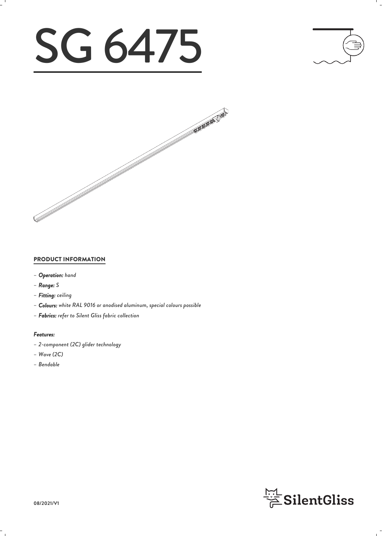# SG 6475





### PRODUCT INFORMATION

- *– Operation: hand*
- *– Range: S*
- *– Fitting: ceiling*
- *– Colours: white RAL 9016 or anodised aluminum, special colours possible*
- *– Fabrics: refer to Silent Gliss fabric collection*

#### *Features:*

- *– 2-component (2C) glider technology*
- *– Wave (2C)*
- *– Bendable*

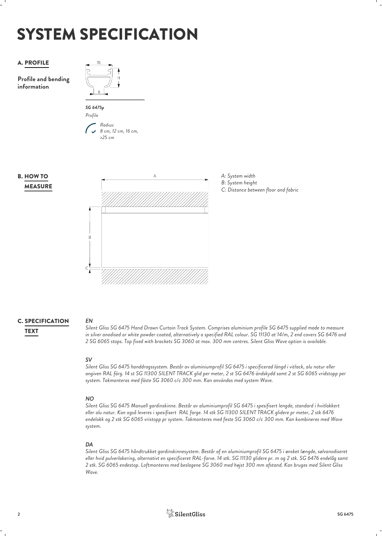## SYSTEM SPECIFICATION



**Profile and bending information**

MEASURE



*A: System width B: System height C: Distance between floor and fabric*

### **C. SPECIFICATION** EN

*EN Silent Gliss SG 6475 Hand Drawn Curtain Track System. Comprises aluminium profile SG 6475 supplied made to measure in silver anodised or white powder coated, alternatively a specified RAL colour. SG 11130 at 14/m, 2 end covers SG 6476 and* TEXT *2 SG 6065 stops. Top fixed with brackets SG 3060 at max. 300 mm centres. Silent Gliss Wave option is available.*

 $\overline{R}$ 

*SV Silent Gliss SG 6475 handdragssystem. Består av aluminiumprofil SG 6475 i specificerad längd i vitlack, alu natur eller angiven RAL färg. 14 st SG 11300 SILENT TRACK glid per meter, 2 st SG 6476 ändskydd samt 2 st SG 6065 vridstopp per system. Takmonteras med fäste SG 3060 c/c 300 mm. Kan användas med system Wave.*

### *NO*

*Silent Gliss SG 6475 Manuell gardinskinne. Består av aluminiumprofil SG 6475 i spesifisert lengde, standard i hvitlakkert eller alu natur. Kan også leveres i spesifisert RAL farge. 14 stk SG 11300 SILENT TRACK glidere pr meter, 2 stk 6476 endelokk og 2 stk SG 6065 vristopp pr system. Takmonteres med feste SG 3060 c/c 300 mm. Kan kombineres med Wave system.*

*DA Silent Gliss SG 6475 håndtrukket gardinskinnesystem. Består af en aluminiumprofil SG 6475 i ønsket længde, sølvanodiseret eller hvid pulverlakering, alternativt en specificeret RAL-farve. 14 stk. SG 11130 glidere pr. m og 2 stk. SG 6476 endelåg samt 2 stk. SG 6065 endestop. Loftmonteres med beslagene SG 3060 med højst 300 mm afstand. Kan bruges med Silent Gliss Wave.*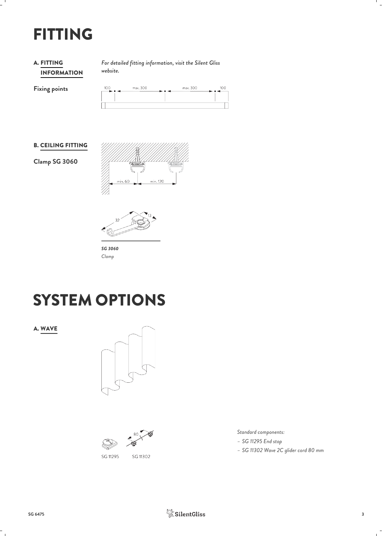### FITTING

### INFORMATION **A. FITTING**

*For detailed fitting information, visit the Silent Gliss* FITTING *website.*

**Fixing points**

| 100<br>--- | max. 300 | max. 300 |  |  |
|------------|----------|----------|--|--|
|            |          |          |  |  |
|            |          |          |  |  |

B. CEILING FITTING

**Clamp SG 3060**





*SG 3060 Clamp*

### SYSTEM OPTIONS

A. WAVE





SG 11295

*Standard components:*

- *– SG 11295 End stop*
- *– SG 11302 Wave 2C glider cord 80 mm*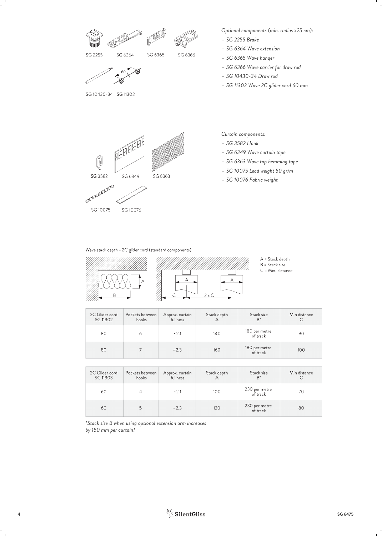

Wave stack depth - 2C glider cord (standard components)







 $B =$  Stack size  $C = Min. distance$ 

| 2C Glider cord<br>SG 11302 | Pockets between<br>hooks | Approx. curtain<br>fullness | Stack depth | Stack size<br>$B^*$       | Min distance |
|----------------------------|--------------------------|-----------------------------|-------------|---------------------------|--------------|
| 80                         | 6                        | ~2.1                        | 140         | 180 per metre<br>of track | 90           |
| 80                         |                          | ~2.3                        | 160         | 180 per metre<br>of track | 100          |

| 2C Glider cord<br>SG 11303 | Pockets between<br>hooks | Approx. curtain<br>fullness | Stack depth | Stack size<br>$B^*$       | Min distance |
|----------------------------|--------------------------|-----------------------------|-------------|---------------------------|--------------|
| 60                         |                          | ~2.1                        | 100         | 230 per metre<br>of track | 70           |
| 60                         |                          | ~2.3                        | 120         | 230 per metre<br>of track | 80           |

*\*Stack size B when using optional extension arm increases by 150 mm per curtain!*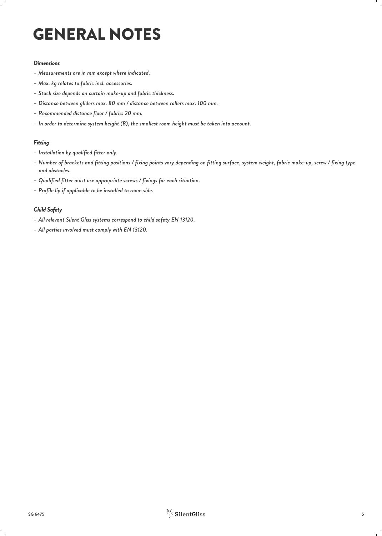## GENERAL NOTES

#### *Dimensions*

- *– Measurements are in mm except where indicated.*
- *– Max. kg relates to fabric incl. accessories.*
- *– Stack size depends on curtain make-up and fabric thickness.*
- *– Distance between gliders max. 80 mm / distance between rollers max. 100 mm.*
- *– Recommended distance floor / fabric: 20 mm.*
- *– In order to determine system height (B), the smallest room height must be taken into account.*

#### *Fitting*

- *– Installation by qualified fitter only.*
- *– Number of brackets and fitting positions / fixing points vary depending on fitting surface, system weight, fabric make-up, screw / fixing type and obstacles.*
- *– Qualified fitter must use appropriate screws / fixings for each situation.*
- *– Profile lip if applicable to be installed to room side.*

### *Child Safety*

- *– All relevant Silent Gliss systems correspond to child safety EN 13120.*
- *– All parties involved must comply with EN 13120.*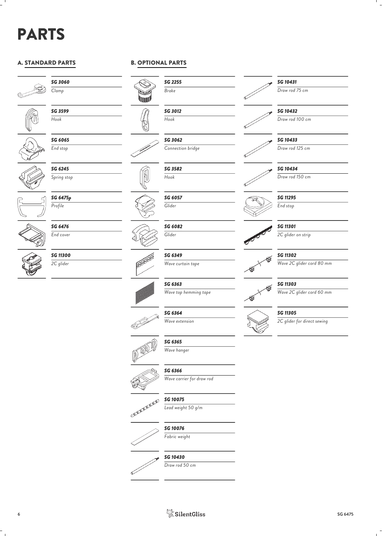# PARTS

### A. STANDARD PARTS



*SG 3060 Clamp*

*SG 3599 Hook*

*SG 6065*







*SG 6245 Spring stop*

> *SG 6475p Profile*





*SG 11300 2C glider*

### B. OPTIONAL PARTS



*SG 3062 Connection bridge*

*SG 3582 Hook*



*SG 6082*

*SG 6349*



*SG 6364 Wave extension*





*SG 6366 Wave carrier for draw rod*

> *SG 10076 Fabric weight*

*SG 10430 Draw rod 50 cm*

*Lead weight 50 g/m*

*SG 6365 Wave hanger*



CONTAINED BY THE REAL PROPERTY.





*Draw rod 75 cm*

### *SG 10432*

*Draw rod 100 cm*

*SG 10433*

*Draw rod 125 cm*

*SG 10434 Draw rod 150 cm*



*SG 11295 End stop*

*SG 11301*

*2C glider on strip*

### *SG 11302*

*Wave 2C glider cord 80 mm*



*SG 11303*

*Wave 2C glider cord 60 mm*

#### *SG 11305*

*2C glider for direct sewing*









*Wave curtain tape*

*SG 6363*

*Wave top hemming tape*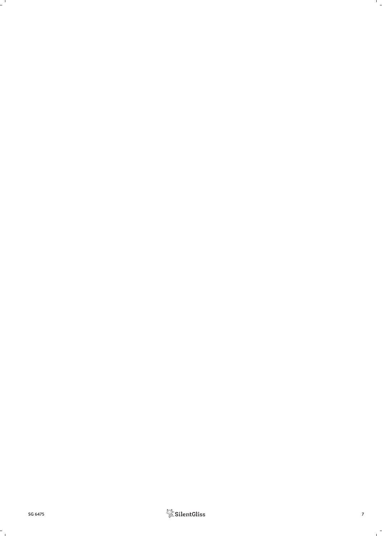